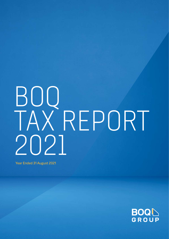Year Ended 31 August 2021

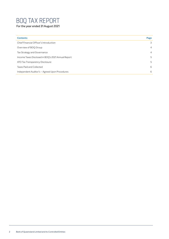For the year ended 31 August 2021

| <b>Contents</b>                                    | Page |
|----------------------------------------------------|------|
| Chief Financial Officer's Introduction             | 3    |
| Overview of BOO Group                              | 4    |
| Tax Strategy and Governance                        | 4    |
| Income Taxes Disclosed in BOQ's 2021 Annual Report | 5    |
| ATO Tax Transparency Disclosure                    | 5    |
| Taxes Paid and Collected                           | 6    |
| Independent Auditor's - Agreed Upon Procedures     | 6    |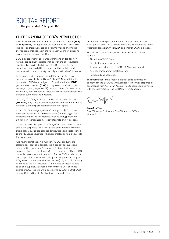For the year ended 31 August 2021

### CHIEF FINANCIAL OFFICER'S INTRODUCTION

I am pleased to present the Bank of Queensland Limited (**BOQ**  or **BOQ Group**) Tax Report for the year ended 31 August 2021. This Tax Report is published on a voluntary basis and meets the requirements set out in the Australian Board of Taxation's Voluntary Tax Transparency Code.

BOQ is a supporter of tax transparency, and prides itself on having open and honest relationships with the tax regulators in all jurisdictions in which it operates. BOQ takes its tax compliance responsibilities seriously and has policies and procedures in place to satisfy tax obligations in a lawful manner.

BOQ makes a wide range of tax-related payments to tax authorities in Australia and New Zealand (**NZ**). In addition to income tax, BOQ is also subject to fringe benefits tax (**FBT**), goods and services tax (**GST**) and payroll tax. BOQ also collects and pays 'pay as you go' (**PAYG**) taxes on behalf of its employees. Stamp duty and withholding taxes are also collected and paid on behalf of customers and investors.

On 1 July 2021 BOQ acquired Members Equity Bank Limited (**ME Bank**). Any taxes paid or collected by ME Bank during BOQ's period of ownership are included in this Tax Report.

In the 2021 financial year, the BOQ Group paid \$167 million in taxes and collected \$228 million in taxes (refer to Page 7 for composition). BOQ's tax expense for accounting purposes of \$169 million represents an effective tax rate of 31.4 per cent.

Consistent with prior years, the BOQ effective tax rate remains above the corporate tax rate of 30 per cent. For the 2021 year, this is largely due to capital note distributions and costs related to the ME Bank acquisition, which are treated as non-deductible for tax purposes.

As a financial institution, a number of BOQ's products are classified as input taxed supplies (e.g. deposit accounts and loans) for GST purposes. As a result, GST is not included in amounts charged to customers (e.g. fees and interest) and BOQ is unable to recover input tax credits for the GST included in the price of purchases related to making these input taxed supplies. BOQ also makes supplies that are taxable (subject to GST). BOQ can recover the full amount of GST incurred on inputs related to taxable supplies. As a result of the mix of BOQ's business operations, GST is ordinarily a cost borne by BOQ. In 2021, BOQ incurred \$35 million of GST that it was unable to recover.

In addition, for the personal income tax year ended 30 June 2021, \$75 million of PAYG withholding taxes were remitted to the Australian Taxation Office (**ATO**) on behalf of BOQ employees.

This report provides the following information in relation to BOQ:

- Overview of BOQ Group;
- Tax strategy and governance;
- Income taxes disclosed in BOQ's 2021 Annual Report;
- ATO tax transparency disclosure; and
- Taxes paid and collected.

The information in this report is in addition to information published in the BOQ 2021 Annual Report which was prepared in accordance with Australian Accounting Standards and complies with the International Financial Reporting Standards.

Ewen Statts d

#### **Ewen Stafford**

Chief Financial Officer and Chief Operating Officer 13 April 2022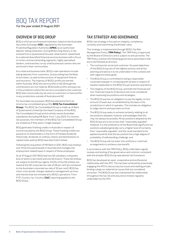For the year ended 31 August 2021

#### OVERVIEW OF BOQ GROUP

BOQ is a full service financial institution, listed on the Australian Securities Exchange (**ASX**), regulated by the Australian Prudential Regulation Authority (**APRA**) as an authorised deposit-taking institution. During BOQ's long history, it has evolved from a Queensland focused, retail branch-based bank to a national diversified financial services business with a focus on niche commercial lending segments, highly specialised bankers, and branches run by small businesses owners who are anchored in their communities.

As a retail and business bank, BOQ's main operations include taking deposits from customers, and providing loan facilities to borrowers, as well as the provision of equipment finance and insurance. The majority of BOQ's profits are earned within Australia. BOQ also earns profits in NZ although the contributions are not material. BOQ books profits and pays tax in the jurisdiction where the service is provided to the customer. BOQ does not provide any services to customers or have profits in any jurisdictions outside of Australia and NZ.

For Australian tax purposes, BOQ has elected to form an income tax consolidated group (the **BOQ Tax Consolidated Group**). The BOQ Tax Consolidated Group is made up of Bank of Queensland Limited (as the Head Company of the BOQ Tax Consolidated Group) and its wholly owned Australian subsidiaries (including ME Bank, from 1 July 2021). For income tax purposes, the members of the BOQ Tax Consolidated Group are treated as if they were a 'single taxpayer'.

BOQ generates franking credits in Australia in respect of income tax paid by the BOQ Group. These franking credits are passed on to shareholders in the form of franked dividends. Historically, dividends on ordinary shares and distributions on capital notes paid by BOQ have been fully franked.

Following the acquisition of ME Bank in 2021, BOQ now employs over three thousand people in Australia and manages the employment related taxes in respect of these employees.

As at 31 August 2021 BOQ had two NZ subsidiary companies (one of which is dormant) and one NZ branch. These NZ entities are subject to the NZ tax regime. Profits of the NZ entities are taxed at the NZ corporate tax rate of 28 per cent (as compared to the Australian corporate tax rate of 30 per cent). BOQ has minor cross border charges related to management services and interest that are immaterial to BOQ's operations. From FY17, Country-by-Country (**CbC**) reporting applied to the BOQ Group.

#### TAX STRATEGY AND GOVERNANCE

BOQ's tax strategy is focused on integrity, compliance, certainty and maximising shareholder value.

This strategy is implemented through BOQ's Tax Risk Management Policy (**TRM Policy**). The TRM Policy is approved by the Board of Directors and is subject to annual review. The TRM Policy outlines the following governance parameters that are to be followed at all times:

- The commercial, social and customer-focused objectives of the BOQ Group are of the highest priority, and all tax planning and advice is to be undertaken in this context and with regard to these goals;
- The BOQ Group is committed to being a responsible corporate taxpayer in complying with all laws in respect of taxation applicable to the BOQ Group's business operations;
- The integrity of the BOQ Group, and both the financial and non-financial impacts of decisions are to be considered when assessing tax positions and strategies;
- The BOO Group has an obligation to pay the legally correct amount of taxes due, as established by the laws in the jurisdictions in which it operates. This includes an obligation to lodge returns and pay taxes on time;
- The BOQ Group seeks to achieve certainty relating to all tax positions adopted, however acknowledges that this may not always be possible. All tax positions adopted by the BOQ Group are to be no less than "reasonably arguable". However, it is the preference of the Board that significant tax positions adopted generally carry a higher level of certainty than "reasonably arguable", and the usual standard to be applied would be that the tax position has a high degree of probability of withstanding challenge; and
- The BOQ Group will not enter into artificial or contrived arrangements to achieve a tax benefit.

In accordance with the TRM Policy, BOQ undertakes regular reviews and testing of tax governance and controls, consistent with the broader BOQ Group operational risk framework.

BOQ has developed an open, cooperative and professional relationship with the ATO. This has been achieved by proactively engaging the ATO to discuss key tax issues and seeking private binding rulings on material tax issues that are considered uncertain. The BOQ Group has maintained this relationship throughout the tax risk and assurance reviews regularly undertaken by the ATO.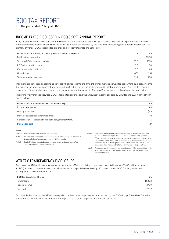For the year ended 31 August 2021

#### INCOME TAXES DISCLOSED IN BOQ'S 2021 ANNUAL REPORT

BOQ reported income tax expense of \$169 million in the 2021 financial year. BOQ's effective tax rate of 31.4 per cent for the 2021 financial year has been calculated by dividing BOQ's income tax expense by the statutory accounting profit before income tax. The primary drivers of BOQ's income tax expense and effective tax rate are as follows:

| %<br>Reconciliation of statutory accounting profit to Income tax expense |       |       |
|--------------------------------------------------------------------------|-------|-------|
| Profit before income tax                                                 |       | 538.0 |
| Tax using BOQ's statutory tax rate <sup>1</sup>                          | 30.0  | 161.0 |
| ME Bank acquisition costs <sup>2</sup>                                   | 0.9   | 5.0   |
| Capital note distributions <sup>3</sup>                                  | 0.8   | 4.4   |
| Other items                                                              | (0.3) | (1.4) |
| <b>Total income tax expense</b>                                          | 31.4  | 169.0 |

Income tax expense is an accounting concept which represents the amount of income tax accrued for accounting purposes. Income tax expense includes both current and deferred tax (i.e. tax that will be paid / received in a later income year). As a result, there will usually be differences between the income tax expense and the amount of tax paid for the period to the relevant tax authorities.

The primary differences between BOQ's income tax expense and the amount of income tax paid by BOQ for the 2021 financial year are as follows:

| Sm   |
|------|
| 169  |
| (40) |
| (17) |
| 5    |
| 117  |
|      |

#### **Notes**

| Note 1- Australian statutory tax rate is 30 per cent.                                                                                                                                                                                                                          | Note 4 - The leasing adjustment relates predominately to differences between                                                                                                                                                         |
|--------------------------------------------------------------------------------------------------------------------------------------------------------------------------------------------------------------------------------------------------------------------------------|--------------------------------------------------------------------------------------------------------------------------------------------------------------------------------------------------------------------------------------|
| Note 2 - ME Bank acquisition costs are not deductible. Instead they are included in<br>the calculation of the tax cost base of ME Bank assets.<br>Note 3 - Capital Notes are treated as equity instruments for tax purposes. As a<br>result, distributions are not deductible. | the tax and accounting treatment of finance leases. For tax purposes,<br>BOQ is required to treat all lease payments as assessable and is eligible to<br>claim depreciation deductions in relation to the leased assets. In the 2021 |
|                                                                                                                                                                                                                                                                                | financial year BOQ was eligible to take an immediate tax deduction for<br>some leased assets under the temporary full expensing incentive.                                                                                           |
|                                                                                                                                                                                                                                                                                | Note 5 - The tax consolidation outcomes related to the ME Bank acquisition result<br>in a TOFA adjustment that is assessable to the BOO over 4 years on a                                                                            |

## ATO TAX TRANSPARENCY DISCLOSURE

Each year the ATO publishes information about the tax affairs of public companies with a total income of \$100 million or more. As BOQ is one of those companies, the ATO is expected to publish the following information about BOQ for the year ended 31 August 2021 in December 2022.

| <b>BOQ Tax Consolidated Group</b> | Sm      |
|-----------------------------------|---------|
| Total income                      | 1,829.8 |
| Taxable income                    | 378.9   |
| Tax payable                       | 113.7   |

straight-line basis.

Tax payable disclosed by the ATO will be equal to the Australian corporate income tax paid by the BOQ Group. This differs from the total income tax amount in the BOQ Annual Report as a result of corporate income tax paid in NZ.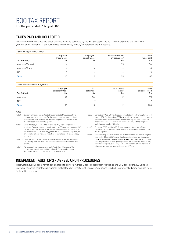For the year ended 31 August 2021

## TAXES PAID AND COLLECTED

The tables below illustrate the types of taxes paid and collected by the BOQ Group in the 2021 financial year to the Australian (Federal and State) and NZ tax authorities. The majority of BOQ's operations are in Australia.

| Taxes paid by the BOQ Group |                                    |                                                 |                                                         |                           |  |
|-----------------------------|------------------------------------|-------------------------------------------------|---------------------------------------------------------|---------------------------|--|
| Tax Authority               | Corporate<br>income tax $1$<br>\$m | Employer /<br>payroll taxes <sup>2</sup><br>\$m | Indirect taxes net<br>of recoveries <sup>3</sup><br>\$m | Total<br>taxes paid<br>Sm |  |
| Australia (Federal)         | 114                                |                                                 | 35                                                      | 150                       |  |
| Australia (State)           | $\overline{\phantom{0}}$           | 14                                              | $\,$                                                    | 14                        |  |
| NZ <sup>4</sup>             | 3                                  | $\overline{\phantom{a}}$                        | $\overline{\phantom{a}}$                                | 3                         |  |
| <b>Total</b>                | 117                                | 15                                              | 35                                                      | 167                       |  |

#### Taxes collected by the BOQ Group

| Tax Authority   | Employee<br>taxes remitted <sup>5</sup><br>\$m | <b>GST</b><br>collected <sup>6</sup><br>\$m | Withholding<br>taxes $7$<br>\$m | Total<br>taxes collected<br>Şm |
|-----------------|------------------------------------------------|---------------------------------------------|---------------------------------|--------------------------------|
| Australia       | 75                                             | 144                                         |                                 | 221                            |
| NZ <sup>4</sup> | $\overline{\phantom{a}}$                       |                                             | $\overline{\phantom{m}}$        |                                |
| <b>Total</b>    | 75                                             | 151                                         |                                 | 228                            |
|                 |                                                |                                             |                                 |                                |

#### **Notes**

- Note 1 Corporate income tax relates to the year ended 31 August 2021, the relevant return period for the BOQ Group income tax returns in both Australia and New Zealand. This includes corporate tax related to the ME Bank operations from 1 July 2021.
- Note 2 Consists of payroll and FBT taxes paid resulting from BOQ's role as an employer. Figures represent payroll tax for the 30 June 2021 year and FBT for the 31 March 2021 year which are the relevant annual return periods for those taxes. As ME Bank only joined the BOQ Group on 1 July 2021, no amounts have been included in relation to payroll and FBT taxes paid by ME Bank.
- Note 3 Consists of GST which cannot be recovered from the ATO. This includes GST paid by ME Bank from 1 July 2021 which cannot be recovered from the ATO.
- Note 4 NZ taxes paid have been presented in Australian dollars using the conversion rate at 31 August 2021. Where NZ taxes paid are below \$500,000, the amount has been rounded down to nil.
- Note 5 Consists of PAYG withholding taxes collected on behalf of employees and paid by BOQ for the 30 June 2021 year which is the relevant annual return period for PAYG. As ME Bank only joined the BOQ Group on 1 July 2021, no amounts have been included in relation to PAYG withholding taxes collected and paid by ME Bank.
- Note 6 Consists of GST paid by BOQ Group customers (including ME Bank customers from 1 July 2021) and remitted to the relevant Tax Authority as GST payable.
- Note 7 Predominately consists of amounts withheld from customers during the year ended 30 June 2021 where they have not quoted a tax file number (**TFN**) or Australian business number (**ABN**) or informed the BOQ Group that they are exempt from quoting either a TFN or ABN. As ME Bank only joined the BOQ Group on 1 July 2021, no amounts have been included in relation to withholding taxes collected by ME Bank.

## INDEPENDENT AUDITOR'S – AGREED UPON PROCEDURES

PricewaterhouseCoopers have been engaged to perform Agreed Upon Procedures in relation to the BoQ Tax Report 2021, and to provide a report of their factual findings to the Board of Directors of Bank of Queensland Limited. No material adverse findings were included in this report.